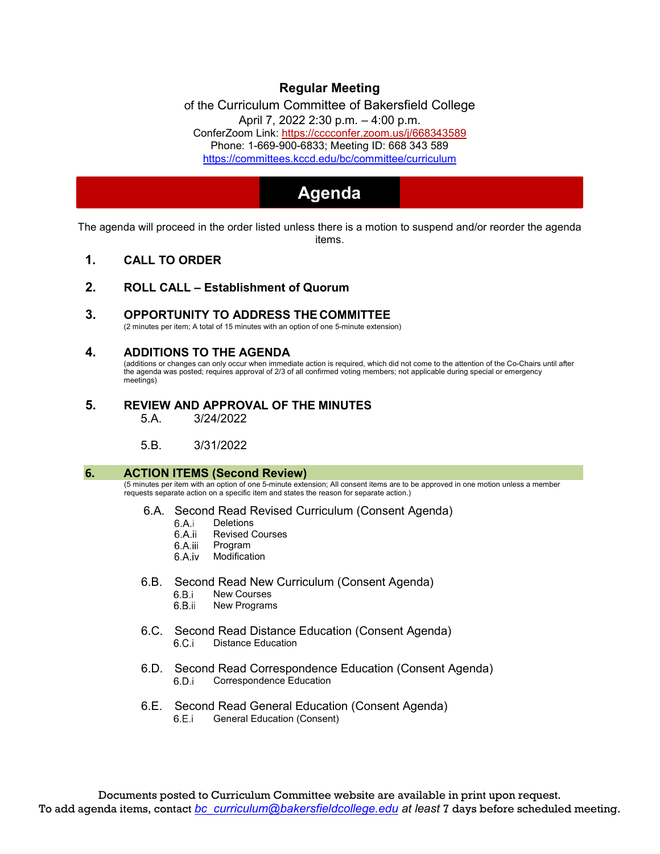# **Regular Meeting**

of the Curriculum Committee of Bakersfield College April 7, 2022 [2:30 p.m. –](https://cccconfer.zoom.us/j/668343589) 4:00 p.m. ConferZoom Link: https://cccconfer.zoom.us/j/668343589 [Phone: 1-669-900-6833; Meeting ID: 668 343 589](https://committees.kccd.edu/bc/committee/curriculum) <https://committees.kccd.edu/bc/committee/curriculum>

# **Agenda**

The agenda will proceed in the order listed unless there is a motion to suspend and/or reorder the agenda items.

- **1. CALL TO ORDER**
- **2. ROLL CALL – Establishment of Quorum**
- **3. OPPORTUNITY TO ADDRESS THE COMMITTEE**

(2 minutes per item; A total of 15 minutes with an option of one 5-minute extension)

# **4. ADDITIONS TO THE AGENDA**

(additions or changes can only occur when immediate action is required, which did not come to the attention of the Co-Chairs until after the agenda was posted; requires approval of 2/3 of all confirmed voting members; not applicable during special or emergency meetings)

# **5. REVIEW AND APPROVAL OF THE MINUTES**

5.A. 3/24/2022

5.B. 3/31/2022

#### **6. ACTION ITEMS (Second Review)**

(5 minutes per item with an option of one 5-minute extension; All consent items are to be approved in one motion unless a member requests separate action on a specific item and states the reason for separate action.)

#### 6.A. Second Read Revised Curriculum (Consent Agenda)

- 6.A.i Deletions
- 6.A.ii Revised Courses
- 6.A.iii Program
- 6.A.iv Modification
- 6.B. Second Read New Curriculum (Consent Agenda)<br>6.B.i New Courses
	- New Courses
	- 6.B.ii New Programs
- 6.C. Second Read Distance Education (Consent Agenda)  $6.C.i$ Distance Education
- 6.D. Second Read Correspondence Education (Consent Agenda) Correspondence Education
- 6.E. Second Read General Education (Consent Agenda)<br>6.E.i General Education (Consent) General Education (Consent)